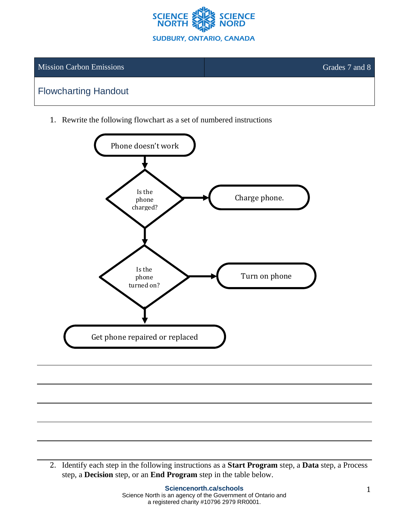

## Mission Carbon Emissions Grades 7 and 8

## Flowcharting Handout

1. Rewrite the following flowchart as a set of numbered instructions



2. Identify each step in the following instructions as a **Start Program** step, a **Data** step, a Process step, a **Decision** step, or an **End Program** step in the table below.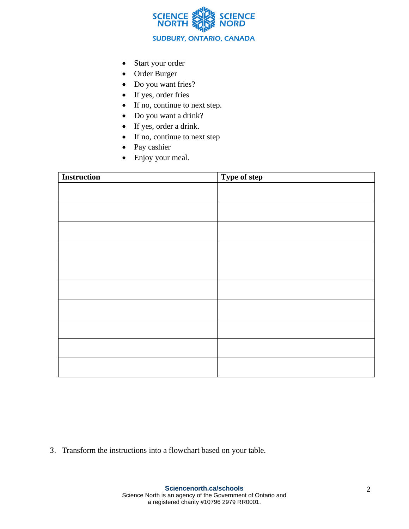

- Start your order
- Order Burger
- Do you want fries?
- If yes, order fries
- If no, continue to next step.
- Do you want a drink?
- If yes, order a drink.
- If no, continue to next step
- Pay cashier
- Enjoy your meal.

| <b>Instruction</b> | Type of step |
|--------------------|--------------|
|                    |              |
|                    |              |
|                    |              |
|                    |              |
|                    |              |
|                    |              |
|                    |              |
|                    |              |
|                    |              |
|                    |              |
|                    |              |
|                    |              |
|                    |              |
|                    |              |
|                    |              |
|                    |              |
|                    |              |
|                    |              |

3. Transform the instructions into a flowchart based on your table.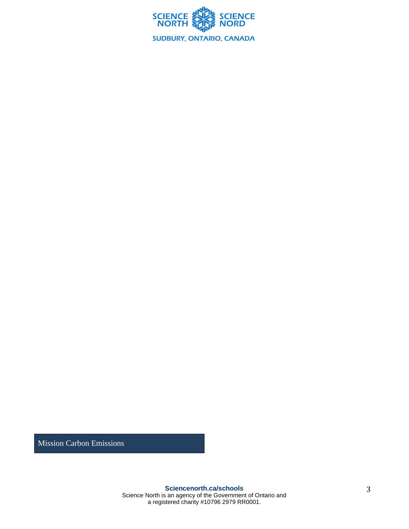

Mission Carbon Emissions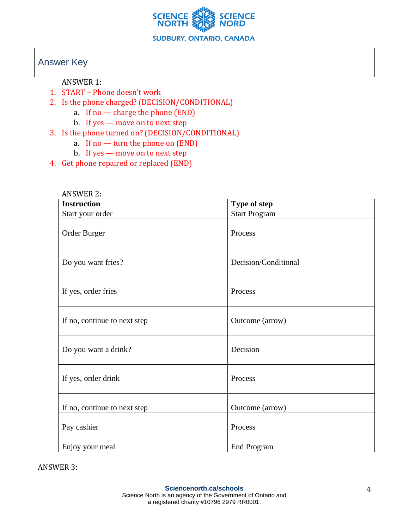

## Answer Key

ANSWER 1:

ANGWER 2

- 1. START Phone doesn't work
- 2. Is the phone charged? (DECISION/CONDITIONAL)
	- a. If no charge the phone (END)
	- b. If yes move on to next step
- 3. Is the phone turned on? (DECISION/CONDITIONAL)
	- a. If no  $-$  turn the phone on  $(END)$
	- b. If yes move on to next step
- 4. Get phone repaired or replaced (END)

| ANSWER 2:            |  |
|----------------------|--|
| Type of step         |  |
| <b>Start Program</b> |  |
| Process              |  |
| Decision/Conditional |  |
| Process              |  |
| Outcome (arrow)      |  |
| Decision             |  |
| Process              |  |
| Outcome (arrow)      |  |
| Process              |  |
| <b>End Program</b>   |  |
|                      |  |

ANSWER 3: